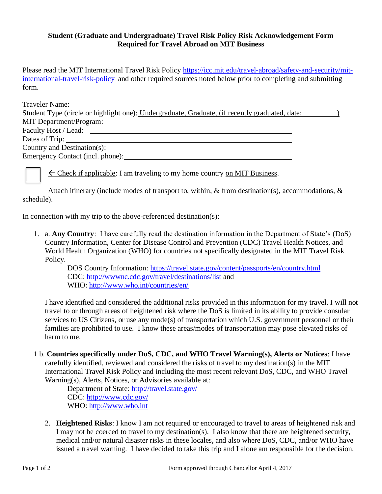## **Student (Graduate and Undergraduate) Travel Risk Policy Risk Acknowledgement Form Required for Travel Abroad on MIT Business**

Please read the MIT International Travel Risk Policy [https://icc.mit.edu/travel-abroad/safety-and-security/mit](https://icc.mit.edu/travel-abroad/safety-and-security/mit-international-travel-risk-policy)[international-travel-risk-policy](https://icc.mit.edu/travel-abroad/safety-and-security/mit-international-travel-risk-policy) and other required sources noted below prior to completing and submitting form.

| Traveler Name:                                                                                 |  |
|------------------------------------------------------------------------------------------------|--|
| Student Type (circle or highlight one): Undergraduate, Graduate, (if recently graduated, date: |  |
|                                                                                                |  |
| Faculty Host / Lead:                                                                           |  |
| Dates of Trip:                                                                                 |  |
| Country and Destination(s):                                                                    |  |
|                                                                                                |  |
|                                                                                                |  |

 $\leq$  Check if applicable: I am traveling to my home country on MIT Business.

Attach itinerary (include modes of transport to, within,  $\&$  from destination(s), accommodations,  $\&$ schedule).

In connection with my trip to the above-referenced destination(s):

1. a. **Any Country**: I have carefully read the destination information in the Department of State's (DoS) Country Information, Center for Disease Control and Prevention (CDC) Travel Health Notices, and World Health Organization (WHO) for countries not specifically designated in the MIT Travel Risk Policy.

> DOS Country Information:<https://travel.state.gov/content/passports/en/country.html> CDC:<http://wwwnc.cdc.gov/travel/destinations/list> and WHO:<http://www.who.int/countries/en/>

I have identified and considered the additional risks provided in this information for my travel. I will not travel to or through areas of heightened risk where the DoS is limited in its ability to provide consular services to US Citizens, or use any mode(s) of transportation which U.S. government personnel or their families are prohibited to use. I know these areas/modes of transportation may pose elevated risks of harm to me.

1 b. **Countries specifically under DoS, CDC, and WHO Travel Warning(s), Alerts or Notices**: I have carefully identified, reviewed and considered the risks of travel to my destination(s) in the MIT International Travel Risk Policy and including the most recent relevant DoS, CDC, and WHO Travel Warning(s), Alerts, Notices, or Advisories available at:

Department of State:<http://travel.state.gov/> CDC:<http://www.cdc.gov/> WHO: [http://www.who.int](http://www.who.int/)

2. **Heightened Risks**: I know I am not required or encouraged to travel to areas of heightened risk and I may not be coerced to travel to my destination(s). I also know that there are heightened security, medical and/or natural disaster risks in these locales, and also where DoS, CDC, and/or WHO have issued a travel warning. I have decided to take this trip and I alone am responsible for the decision.